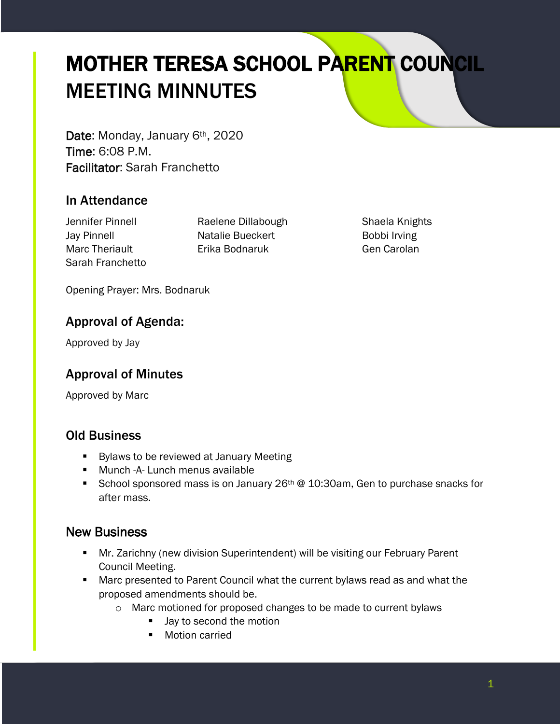# MOTHER TERESA SCHOOL PARENT COUNCIL MEETING MINNUTES

Date: Monday, January 6<sup>th</sup>, 2020 Time: 6:08 P.M. Facilitator: Sarah Franchetto

## In Attendance

Sarah Franchetto

Jennifer Pinnell **Raelene Dillabough** Shaela Knights Jay Pinnell **Natalie Bueckert Bobbi Irving** Marc Theriault Erika Bodnaruk Gen Carolan

Opening Prayer: Mrs. Bodnaruk

## Approval of Agenda:

Approved by Jay

## Approval of Minutes

Approved by Marc

#### Old Business

- **Bylaws to be reviewed at January Meeting**
- **Munch -A- Lunch menus available**
- School sponsored mass is on January  $26<sup>th</sup>$  @ 10:30am, Gen to purchase snacks for after mass.

## New Business

- **Mr. Zarichny (new division Superintendent) will be visiting our February Parent** Council Meeting.
- Marc presented to Parent Council what the current bylaws read as and what the proposed amendments should be.
	- o Marc motioned for proposed changes to be made to current bylaws
		- Jay to second the motion
		- **Motion carried**